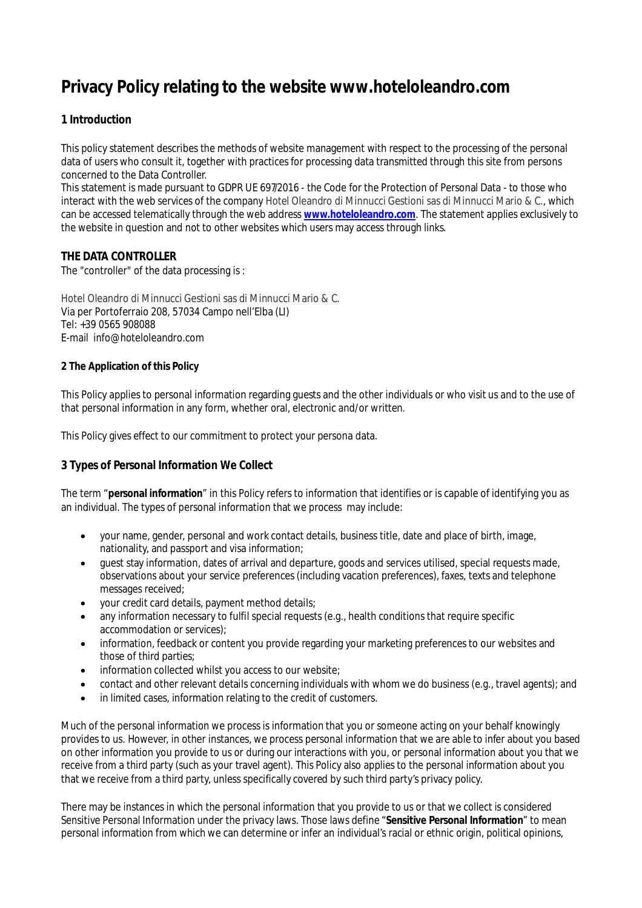# **Privacy Policy relating to the website www.hoteloleandro.com**

# **1 Introduction**

This policy statement describes the methods of website management with respect to the processing of the personal data of users who consult it, together with practices for processing data transmitted through this site from persons concerned to the Data Controller.

This statement is made pursuant to GDPR UE 697/2016 - the Code for the Protection of Personal Data - to those who interact with the web services of the company Hotel Oleandro di Minnucci Gestioni sas di Minnucci Mario & C., which can be accessed telematically through the web address **www.hoteloleandro.com**. The statement applies exclusively to the website in question and not to other websites which users may access through links.

## **THE DATA CONTROLLER**

The "controller" of the data processing is :

Hotel Oleandro di Minnucci Gestioni sas di Minnucci Mario & C. Via per Portoferraio 208, 57034 Campo nell'Elba (LI) Tel: +39 0565 908088 E-mail info@hoteloleandro.com

## **2 The Application of this Policy**

This Policy applies to personal information regarding guests and the other individuals or who visit us and to the use of that personal information in any form, whether oral, electronic and/or written.

This Policy gives effect to our commitment to protect your persona data.

## **3 Types of Personal Information We Collect**

The term "**personal information**" in this Policy refers to information that identifies or is capable of identifying you as an individual. The types of personal information that we process may include:

- your name, gender, personal and work contact details, business title, date and place of birth, image, nationality, and passport and visa information;
- guest stay information, dates of arrival and departure, goods and services utilised, special requests made, observations about your service preferences (including vacation preferences), faxes, texts and telephone messages received;
- your credit card details, payment method details;
- any information necessary to fulfil special requests (e.g., health conditions that require specific accommodation or services);
- information, feedback or content you provide regarding your marketing preferences to our websites and those of third parties;
- information collected whilst you access to our website;
- contact and other relevant details concerning individuals with whom we do business (e.g., travel agents); and
- in limited cases, information relating to the credit of customers.

Much of the personal information we process is information that you or someone acting on your behalf knowingly provides to us. However, in other instances, we process personal information that we are able to infer about you based on other information you provide to us or during our interactions with you, or personal information about you that we receive from a third party (such as your travel agent). This Policy also applies to the personal information about you that we receive from a third party, unless specifically covered by such third party's privacy policy.

There may be instances in which the personal information that you provide to us or that we collect is considered Sensitive Personal Information under the privacy laws. Those laws define "**Sensitive Personal Information**" to mean personal information from which we can determine or infer an individual's racial or ethnic origin, political opinions,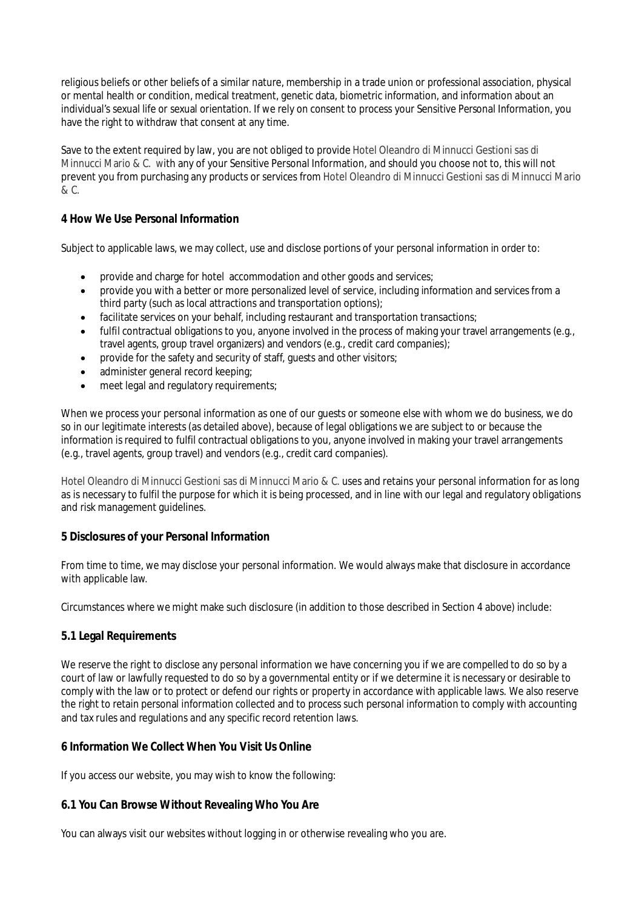religious beliefs or other beliefs of a similar nature, membership in a trade union or professional association, physical or mental health or condition, medical treatment, genetic data, biometric information, and information about an individual's sexual life or sexual orientation. If we rely on consent to process your Sensitive Personal Information, you have the right to withdraw that consent at any time.

Save to the extent required by law, you are not obliged to provide Hotel Oleandro di Minnucci Gestioni sas di Minnucci Mario & C. with any of your Sensitive Personal Information, and should you choose not to, this will not prevent you from purchasing any products or services from Hotel Oleandro di Minnucci Gestioni sas di Minnucci Mario & C.

## **4 How We Use Personal Information**

Subject to applicable laws, we may collect, use and disclose portions of your personal information in order to:

- provide and charge for hotel accommodation and other goods and services;
- provide you with a better or more personalized level of service, including information and services from a third party (such as local attractions and transportation options);
- facilitate services on your behalf, including restaurant and transportation transactions;
- fulfil contractual obligations to you, anyone involved in the process of making your travel arrangements (e.g., travel agents, group travel organizers) and vendors (e.g., credit card companies);
- provide for the safety and security of staff, guests and other visitors;
- administer general record keeping;
- meet legal and regulatory requirements;

When we process your personal information as one of our guests or someone else with whom we do business, we do so in our legitimate interests (as detailed above), because of legal obligations we are subject to or because the information is required to fulfil contractual obligations to you, anyone involved in making your travel arrangements (e.g., travel agents, group travel) and vendors (e.g., credit card companies).

Hotel Oleandro di Minnucci Gestioni sas di Minnucci Mario & C. uses and retains your personal information for as long as is necessary to fulfil the purpose for which it is being processed, and in line with our legal and regulatory obligations and risk management guidelines.

## **5 Disclosures of your Personal Information**

From time to time, we may disclose your personal information. We would always make that disclosure in accordance with applicable law.

Circumstances where we might make such disclosure (in addition to those described in Section 4 above) include:

## **5.1 Legal Requirements**

We reserve the right to disclose any personal information we have concerning you if we are compelled to do so by a court of law or lawfully requested to do so by a governmental entity or if we determine it is necessary or desirable to comply with the law or to protect or defend our rights or property in accordance with applicable laws. We also reserve the right to retain personal information collected and to process such personal information to comply with accounting and tax rules and regulations and any specific record retention laws.

## **6 Information We Collect When You Visit Us Online**

If you access our website, you may wish to know the following:

## **6.1 You Can Browse Without Revealing Who You Are**

You can always visit our websites without logging in or otherwise revealing who you are.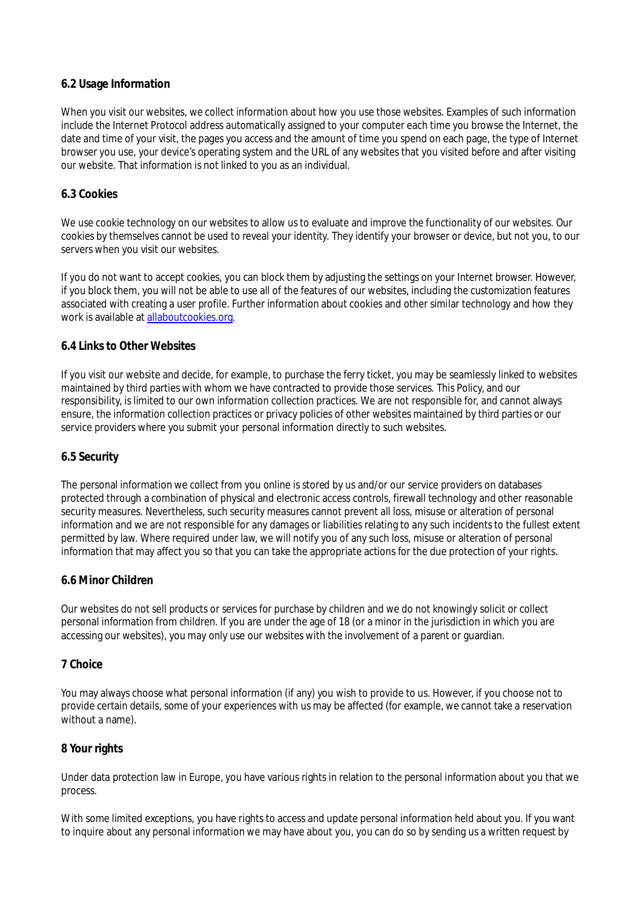## **6.2 Usage Information**

When you visit our websites, we collect information about how you use those websites. Examples of such information include the Internet Protocol address automatically assigned to your computer each time you browse the Internet, the date and time of your visit, the pages you access and the amount of time you spend on each page, the type of Internet browser you use, your device's operating system and the URL of any websites that you visited before and after visiting our website. That information is not linked to you as an individual.

#### **6.3 Cookies**

We use cookie technology on our websites to allow us to evaluate and improve the functionality of our websites. Our cookies by themselves cannot be used to reveal your identity. They identify your browser or device, but not you, to our servers when you visit our websites.

If you do not want to accept cookies, you can block them by adjusting the settings on your Internet browser. However, if you block them, you will not be able to use all of the features of our websites, including the customization features associated with creating a user profile. Further information about cookies and other similar technology and how they work is available at allaboutcookies.org.

## **6.4 Links to Other Websites**

If you visit our website and decide, for example, to purchase the ferry ticket, you may be seamlessly linked to websites maintained by third parties with whom we have contracted to provide those services. This Policy, and our responsibility, is limited to our own information collection practices. We are not responsible for, and cannot always ensure, the information collection practices or privacy policies of other websites maintained by third parties or our service providers where you submit your personal information directly to such websites.

## **6.5 Security**

The personal information we collect from you online is stored by us and/or our service providers on databases protected through a combination of physical and electronic access controls, firewall technology and other reasonable security measures. Nevertheless, such security measures cannot prevent all loss, misuse or alteration of personal information and we are not responsible for any damages or liabilities relating to any such incidents to the fullest extent permitted by law. Where required under law, we will notify you of any such loss, misuse or alteration of personal information that may affect you so that you can take the appropriate actions for the due protection of your rights.

#### **6.6 Minor Children**

Our websites do not sell products or services for purchase by children and we do not knowingly solicit or collect personal information from children. If you are under the age of 18 (or a minor in the jurisdiction in which you are accessing our websites), you may only use our websites with the involvement of a parent or guardian.

#### **7 Choice**

You may always choose what personal information (if any) you wish to provide to us. However, if you choose not to provide certain details, some of your experiences with us may be affected (for example, we cannot take a reservation without a name).

## **8 Your rights**

Under data protection law in Europe, you have various rights in relation to the personal information about you that we process.

With some limited exceptions, you have rights to access and update personal information held about you. If you want to inquire about any personal information we may have about you, you can do so by sending us a written request by